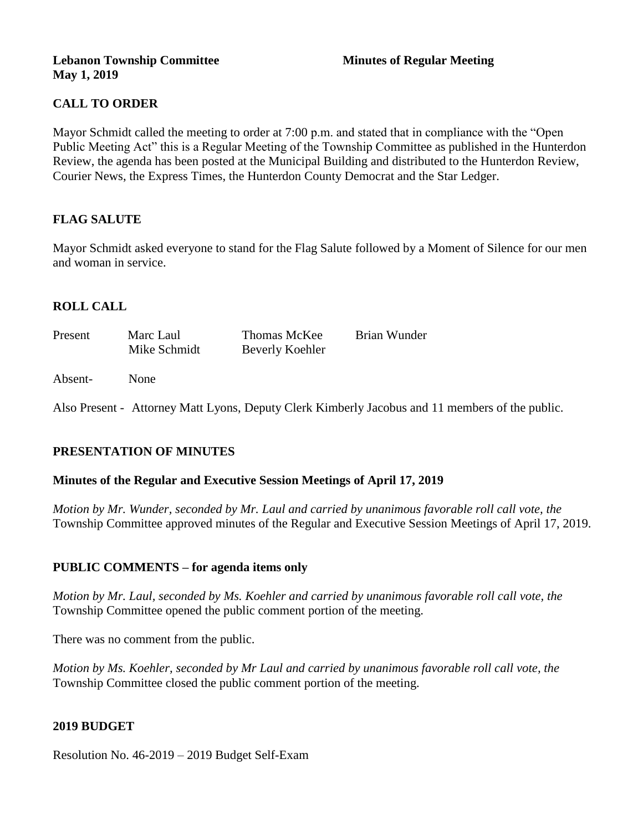#### **Lebanon Township Committee 3 2008 Minutes of Regular Meeting May 1, 2019**

## **CALL TO ORDER**

Mayor Schmidt called the meeting to order at 7:00 p.m. and stated that in compliance with the "Open Public Meeting Act" this is a Regular Meeting of the Township Committee as published in the Hunterdon Review, the agenda has been posted at the Municipal Building and distributed to the Hunterdon Review, Courier News, the Express Times, the Hunterdon County Democrat and the Star Ledger.

## **FLAG SALUTE**

Mayor Schmidt asked everyone to stand for the Flag Salute followed by a Moment of Silence for our men and woman in service.

## **ROLL CALL**

| Present | Marc Laul    | Thomas McKee    | Brian Wunder |
|---------|--------------|-----------------|--------------|
|         | Mike Schmidt | Beverly Koehler |              |
|         |              |                 |              |

Absent- None

Also Present - Attorney Matt Lyons, Deputy Clerk Kimberly Jacobus and 11 members of the public.

## **PRESENTATION OF MINUTES**

#### **Minutes of the Regular and Executive Session Meetings of April 17, 2019**

*Motion by Mr. Wunder, seconded by Mr. Laul and carried by unanimous favorable roll call vote, the*  Township Committee approved minutes of the Regular and Executive Session Meetings of April 17, 2019.

#### **PUBLIC COMMENTS – for agenda items only**

*Motion by Mr. Laul, seconded by Ms. Koehler and carried by unanimous favorable roll call vote, the*  Township Committee opened the public comment portion of the meeting.

There was no comment from the public.

*Motion by Ms. Koehler, seconded by Mr Laul and carried by unanimous favorable roll call vote, the*  Township Committee closed the public comment portion of the meeting.

#### **2019 BUDGET**

Resolution No. 46-2019 – 2019 Budget Self-Exam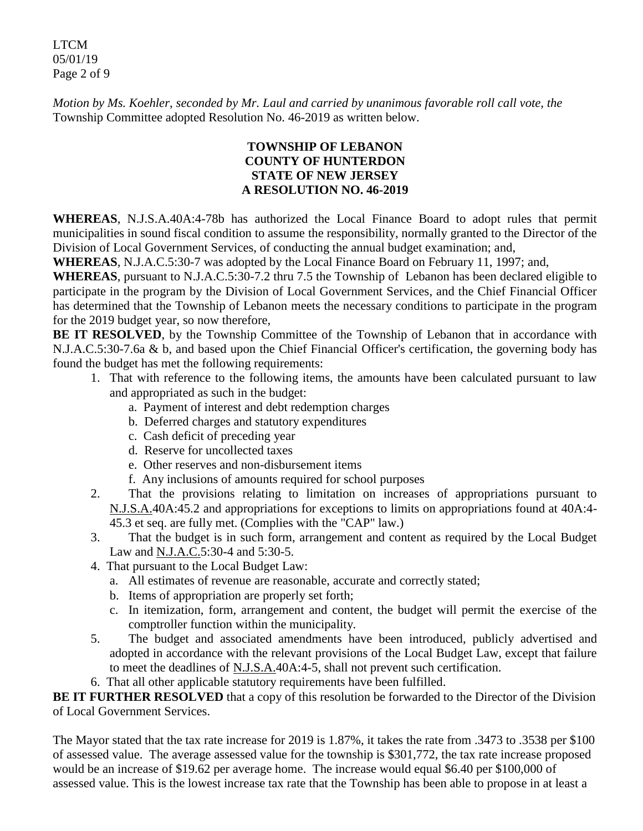LTCM 05/01/19 Page 2 of 9

*Motion by Ms. Koehler, seconded by Mr. Laul and carried by unanimous favorable roll call vote, the*  Township Committee adopted Resolution No. 46-2019 as written below.

## **TOWNSHIP OF LEBANON COUNTY OF HUNTERDON STATE OF NEW JERSEY A RESOLUTION NO. 46-2019**

**WHEREAS**, N.J.S.A.40A:4-78b has authorized the Local Finance Board to adopt rules that permit municipalities in sound fiscal condition to assume the responsibility, normally granted to the Director of the Division of Local Government Services, of conducting the annual budget examination; and,

**WHEREAS**, N.J.A.C.5:30-7 was adopted by the Local Finance Board on February 11, 1997; and,

**WHEREAS**, pursuant to N.J.A.C.5:30-7.2 thru 7.5 the Township of Lebanon has been declared eligible to participate in the program by the Division of Local Government Services, and the Chief Financial Officer has determined that the Township of Lebanon meets the necessary conditions to participate in the program for the 2019 budget year, so now therefore,

**BE IT RESOLVED**, by the Township Committee of the Township of Lebanon that in accordance with N.J.A.C.5:30-7.6a & b, and based upon the Chief Financial Officer's certification, the governing body has found the budget has met the following requirements:

- 1. That with reference to the following items, the amounts have been calculated pursuant to law and appropriated as such in the budget:
	- a. Payment of interest and debt redemption charges
	- b. Deferred charges and statutory expenditures
	- c. Cash deficit of preceding year
	- d. Reserve for uncollected taxes
	- e. Other reserves and non-disbursement items
	- f. Any inclusions of amounts required for school purposes
- 2. That the provisions relating to limitation on increases of appropriations pursuant to N.J.S.A.40A:45.2 and appropriations for exceptions to limits on appropriations found at 40A:4- 45.3 et seq. are fully met. (Complies with the "CAP" law.)
- 3. That the budget is in such form, arrangement and content as required by the Local Budget Law and <u>N.J.A.C.</u>5:30-4 and 5:30-5.
- 4. That pursuant to the Local Budget Law:
	- a. All estimates of revenue are reasonable, accurate and correctly stated;
	- b. Items of appropriation are properly set forth;
	- c. In itemization, form, arrangement and content, the budget will permit the exercise of the comptroller function within the municipality.
- 5. The budget and associated amendments have been introduced, publicly advertised and adopted in accordance with the relevant provisions of the Local Budget Law, except that failure to meet the deadlines of N.J.S.A.40A:4-5, shall not prevent such certification.
- 6. That all other applicable statutory requirements have been fulfilled.

**BE IT FURTHER RESOLVED** that a copy of this resolution be forwarded to the Director of the Division of Local Government Services.

The Mayor stated that the tax rate increase for 2019 is 1.87%, it takes the rate from .3473 to .3538 per \$100 of assessed value. The average assessed value for the township is \$301,772, the tax rate increase proposed would be an increase of \$19.62 per average home. The increase would equal \$6.40 per \$100,000 of assessed value. This is the lowest increase tax rate that the Township has been able to propose in at least a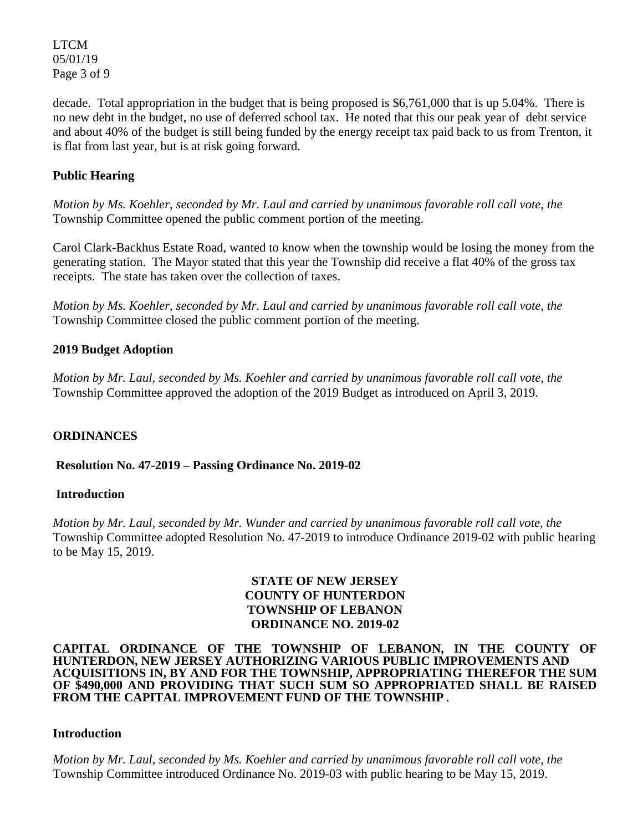LTCM 05/01/19 Page 3 of 9

decade. Total appropriation in the budget that is being proposed is \$6,761,000 that is up 5.04%. There is no new debt in the budget, no use of deferred school tax. He noted that this our peak year of debt service and about 40% of the budget is still being funded by the energy receipt tax paid back to us from Trenton, it is flat from last year, but is at risk going forward.

## **Public Hearing**

*Motion by Ms. Koehler, seconded by Mr. Laul and carried by unanimous favorable roll call vote, the*  Township Committee opened the public comment portion of the meeting.

Carol Clark-Backhus Estate Road, wanted to know when the township would be losing the money from the generating station. The Mayor stated that this year the Township did receive a flat 40% of the gross tax receipts. The state has taken over the collection of taxes.

*Motion by Ms. Koehler, seconded by Mr. Laul and carried by unanimous favorable roll call vote, the*  Township Committee closed the public comment portion of the meeting.

## **2019 Budget Adoption**

*Motion by Mr. Laul, seconded by Ms. Koehler and carried by unanimous favorable roll call vote, the*  Township Committee approved the adoption of the 2019 Budget as introduced on April 3, 2019.

## **ORDINANCES**

**Resolution No. 47-2019 – Passing Ordinance No. 2019-02** 

## **Introduction**

*Motion by Mr. Laul, seconded by Mr. Wunder and carried by unanimous favorable roll call vote, the*  Township Committee adopted Resolution No. 47-2019 to introduce Ordinance 2019-02 with public hearing to be May 15, 2019.

## **STATE OF NEW JERSEY COUNTY OF HUNTERDON TOWNSHIP OF LEBANON ORDINANCE NO. 2019-02**

#### **CAPITAL ORDINANCE OF THE TOWNSHIP OF LEBANON, IN THE COUNTY OF HUNTERDON, NEW JERSEY AUTHORIZING VARIOUS PUBLIC IMPROVEMENTS AND ACQUISITIONS IN, BY AND FOR THE TOWNSHIP, APPROPRIATING THEREFOR THE SUM OF \$490,000 AND PROVIDING THAT SUCH SUM SO APPROPRIATED SHALL BE RAISED FROM THE CAPITAL IMPROVEMENT FUND OF THE TOWNSHIP.**

# **Introduction**

*Motion by Mr. Laul, seconded by Ms. Koehler and carried by unanimous favorable roll call vote, the*  Township Committee introduced Ordinance No. 2019-03 with public hearing to be May 15, 2019.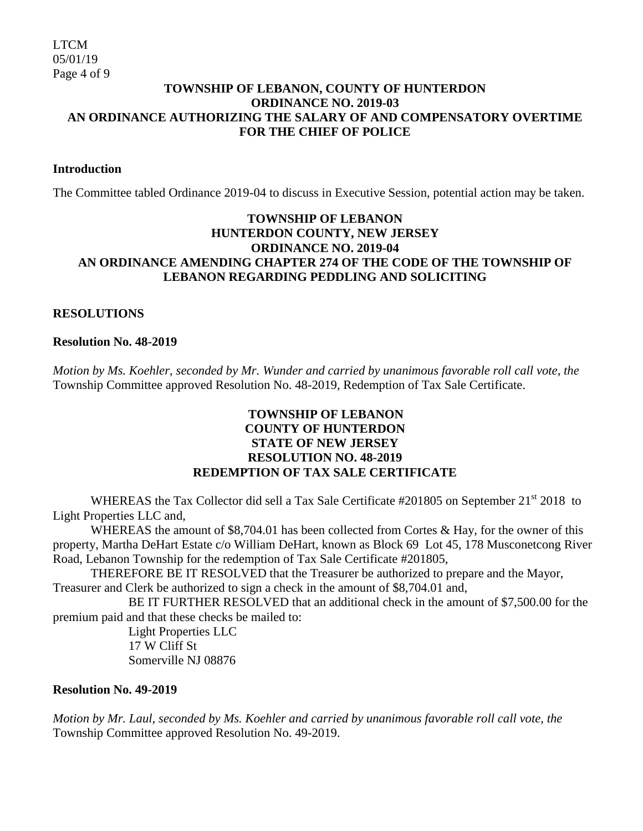#### **TOWNSHIP OF LEBANON, COUNTY OF HUNTERDON ORDINANCE NO. 2019-03 AN ORDINANCE AUTHORIZING THE SALARY OF AND COMPENSATORY OVERTIME FOR THE CHIEF OF POLICE**

#### **Introduction**

The Committee tabled Ordinance 2019-04 to discuss in Executive Session, potential action may be taken.

## **TOWNSHIP OF LEBANON HUNTERDON COUNTY, NEW JERSEY ORDINANCE NO. 2019-04 AN ORDINANCE AMENDING CHAPTER 274 OF THE CODE OF THE TOWNSHIP OF LEBANON REGARDING PEDDLING AND SOLICITING**

## **RESOLUTIONS**

#### **Resolution No. 48-2019**

*Motion by Ms. Koehler, seconded by Mr. Wunder and carried by unanimous favorable roll call vote, the*  Township Committee approved Resolution No. 48-2019, Redemption of Tax Sale Certificate.

## **TOWNSHIP OF LEBANON COUNTY OF HUNTERDON STATE OF NEW JERSEY RESOLUTION NO. 48-2019 REDEMPTION OF TAX SALE CERTIFICATE**

WHEREAS the Tax Collector did sell a Tax Sale Certificate #201805 on September 21<sup>st</sup> 2018 to Light Properties LLC and,

WHEREAS the amount of \$8,704.01 has been collected from Cortes & Hay, for the owner of this property, Martha DeHart Estate c/o William DeHart, known as Block 69 Lot 45, 178 Musconetcong River Road, Lebanon Township for the redemption of Tax Sale Certificate #201805,

THEREFORE BE IT RESOLVED that the Treasurer be authorized to prepare and the Mayor, Treasurer and Clerk be authorized to sign a check in the amount of \$8,704.01 and,

BE IT FURTHER RESOLVED that an additional check in the amount of \$7,500.00 for the premium paid and that these checks be mailed to:

> Light Properties LLC 17 W Cliff St Somerville NJ 08876

#### **Resolution No. 49-2019**

*Motion by Mr. Laul, seconded by Ms. Koehler and carried by unanimous favorable roll call vote, the*  Township Committee approved Resolution No. 49-2019.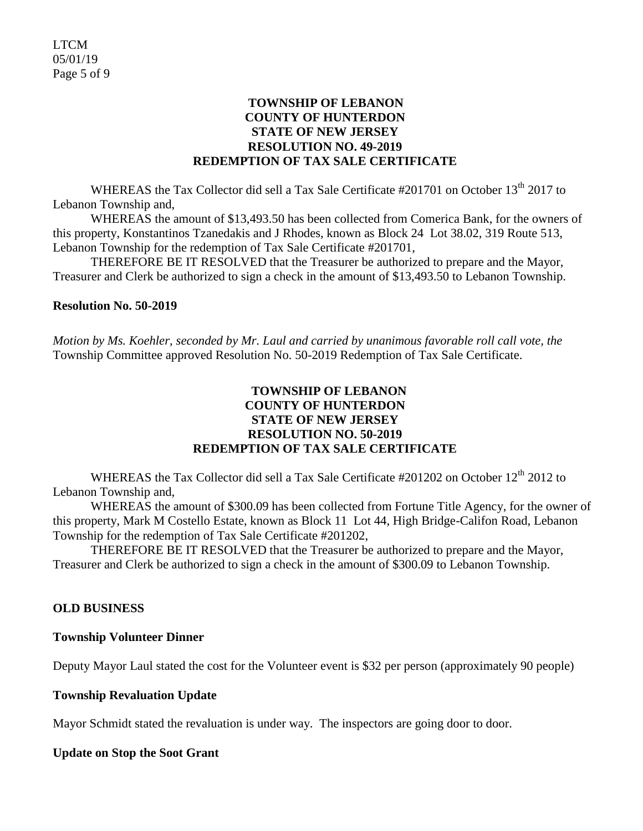#### **TOWNSHIP OF LEBANON COUNTY OF HUNTERDON STATE OF NEW JERSEY RESOLUTION NO. 49-2019 REDEMPTION OF TAX SALE CERTIFICATE**

WHEREAS the Tax Collector did sell a Tax Sale Certificate #201701 on October 13<sup>th</sup> 2017 to Lebanon Township and,

WHEREAS the amount of \$13,493.50 has been collected from Comerica Bank, for the owners of this property, Konstantinos Tzanedakis and J Rhodes, known as Block 24 Lot 38.02, 319 Route 513, Lebanon Township for the redemption of Tax Sale Certificate #201701,

THEREFORE BE IT RESOLVED that the Treasurer be authorized to prepare and the Mayor, Treasurer and Clerk be authorized to sign a check in the amount of \$13,493.50 to Lebanon Township.

#### **Resolution No. 50-2019**

*Motion by Ms. Koehler, seconded by Mr. Laul and carried by unanimous favorable roll call vote, the*  Township Committee approved Resolution No. 50-2019 Redemption of Tax Sale Certificate.

## **TOWNSHIP OF LEBANON COUNTY OF HUNTERDON STATE OF NEW JERSEY RESOLUTION NO. 50-2019 REDEMPTION OF TAX SALE CERTIFICATE**

WHEREAS the Tax Collector did sell a Tax Sale Certificate #201202 on October 12<sup>th</sup> 2012 to Lebanon Township and,

WHEREAS the amount of \$300.09 has been collected from Fortune Title Agency, for the owner of this property, Mark M Costello Estate, known as Block 11 Lot 44, High Bridge-Califon Road, Lebanon Township for the redemption of Tax Sale Certificate #201202,

THEREFORE BE IT RESOLVED that the Treasurer be authorized to prepare and the Mayor, Treasurer and Clerk be authorized to sign a check in the amount of \$300.09 to Lebanon Township.

#### **OLD BUSINESS**

#### **Township Volunteer Dinner**

Deputy Mayor Laul stated the cost for the Volunteer event is \$32 per person (approximately 90 people)

#### **Township Revaluation Update**

Mayor Schmidt stated the revaluation is under way. The inspectors are going door to door.

#### **Update on Stop the Soot Grant**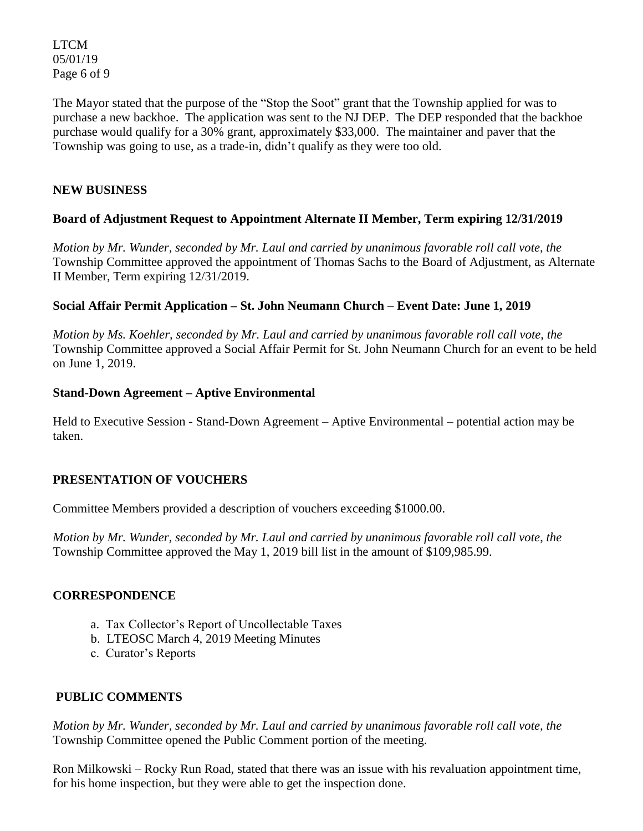LTCM 05/01/19 Page 6 of 9

The Mayor stated that the purpose of the "Stop the Soot" grant that the Township applied for was to purchase a new backhoe. The application was sent to the NJ DEP. The DEP responded that the backhoe purchase would qualify for a 30% grant, approximately \$33,000. The maintainer and paver that the Township was going to use, as a trade-in, didn't qualify as they were too old.

## **NEW BUSINESS**

## **Board of Adjustment Request to Appointment Alternate II Member, Term expiring 12/31/2019**

*Motion by Mr. Wunder, seconded by Mr. Laul and carried by unanimous favorable roll call vote, the*  Township Committee approved the appointment of Thomas Sachs to the Board of Adjustment, as Alternate II Member, Term expiring 12/31/2019.

## **Social Affair Permit Application – St. John Neumann Church** – **Event Date: June 1, 2019**

*Motion by Ms. Koehler, seconded by Mr. Laul and carried by unanimous favorable roll call vote, the*  Township Committee approved a Social Affair Permit for St. John Neumann Church for an event to be held on June 1, 2019.

## **Stand-Down Agreement – Aptive Environmental**

Held to Executive Session - Stand-Down Agreement – Aptive Environmental – potential action may be taken.

## **PRESENTATION OF VOUCHERS**

Committee Members provided a description of vouchers exceeding \$1000.00.

*Motion by Mr. Wunder, seconded by Mr. Laul and carried by unanimous favorable roll call vote*, *the*  Township Committee approved the May 1, 2019 bill list in the amount of \$109,985.99.

#### **CORRESPONDENCE**

- a. Tax Collector's Report of Uncollectable Taxes
- b. LTEOSC March 4, 2019 Meeting Minutes
- c. Curator's Reports

## **PUBLIC COMMENTS**

*Motion by Mr. Wunder, seconded by Mr. Laul and carried by unanimous favorable roll call vote, the*  Township Committee opened the Public Comment portion of the meeting.

Ron Milkowski – Rocky Run Road, stated that there was an issue with his revaluation appointment time, for his home inspection, but they were able to get the inspection done.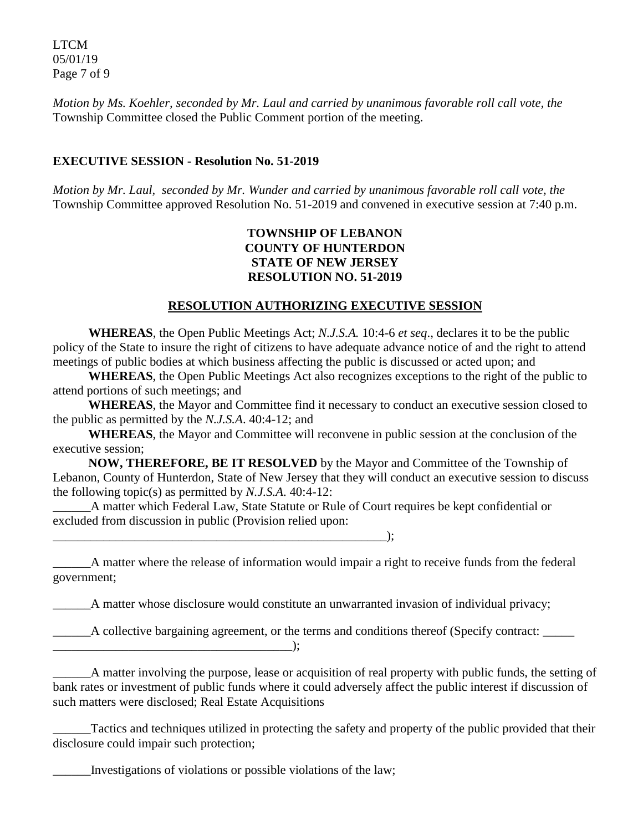LTCM 05/01/19 Page 7 of 9

*Motion by Ms. Koehler, seconded by Mr. Laul and carried by unanimous favorable roll call vote, the*  Township Committee closed the Public Comment portion of the meeting.

## **EXECUTIVE SESSION - Resolution No. 51-2019**

*Motion by Mr. Laul, seconded by Mr. Wunder and carried by unanimous favorable roll call vote, the* Township Committee approved Resolution No. 51-2019 and convened in executive session at 7:40 p.m.

#### **TOWNSHIP OF LEBANON COUNTY OF HUNTERDON STATE OF NEW JERSEY RESOLUTION NO. 51-2019**

#### **RESOLUTION AUTHORIZING EXECUTIVE SESSION**

**WHEREAS**, the Open Public Meetings Act; *N.J.S.A.* 10:4-6 *et seq*., declares it to be the public policy of the State to insure the right of citizens to have adequate advance notice of and the right to attend meetings of public bodies at which business affecting the public is discussed or acted upon; and

**WHEREAS**, the Open Public Meetings Act also recognizes exceptions to the right of the public to attend portions of such meetings; and

**WHEREAS**, the Mayor and Committee find it necessary to conduct an executive session closed to the public as permitted by the *N.J.S.A*. 40:4-12; and

**WHEREAS**, the Mayor and Committee will reconvene in public session at the conclusion of the executive session;

**NOW, THEREFORE, BE IT RESOLVED** by the Mayor and Committee of the Township of Lebanon, County of Hunterdon, State of New Jersey that they will conduct an executive session to discuss the following topic(s) as permitted by *N.J.S.A*. 40:4-12:

A matter which Federal Law, State Statute or Rule of Court requires be kept confidential or excluded from discussion in public (Provision relied upon:

 $\qquad \qquad$  );

\_\_\_\_\_\_A matter where the release of information would impair a right to receive funds from the federal government;

\_\_\_\_\_\_A matter whose disclosure would constitute an unwarranted invasion of individual privacy;

\_\_\_\_\_\_A collective bargaining agreement, or the terms and conditions thereof (Specify contract: \_\_\_\_\_ \_\_\_\_\_\_\_\_\_\_\_\_\_\_\_\_\_\_\_\_\_\_\_\_\_\_\_\_\_\_\_\_\_\_\_\_\_\_);

\_\_\_\_\_\_A matter involving the purpose, lease or acquisition of real property with public funds, the setting of bank rates or investment of public funds where it could adversely affect the public interest if discussion of such matters were disclosed; Real Estate Acquisitions

Tactics and techniques utilized in protecting the safety and property of the public provided that their disclosure could impair such protection;

\_\_\_\_\_\_Investigations of violations or possible violations of the law;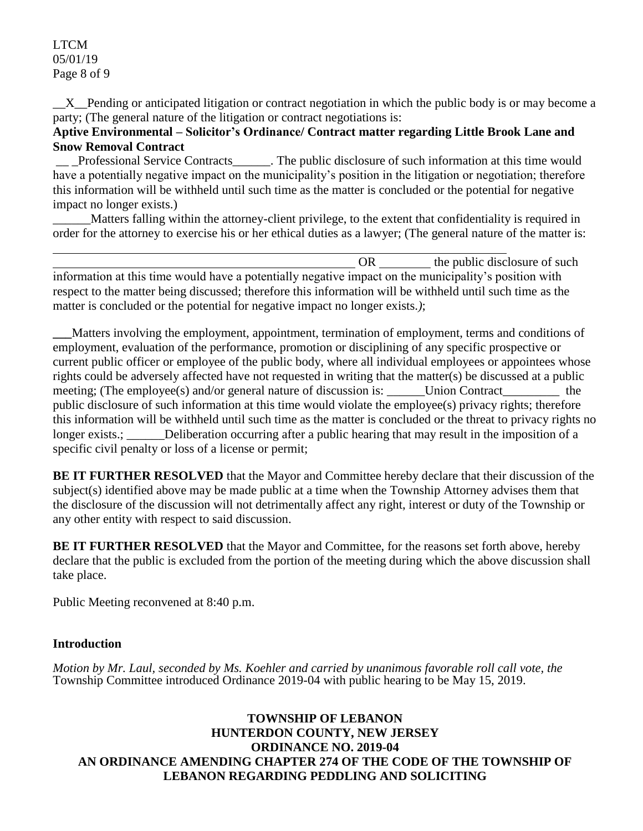\_\_X\_\_Pending or anticipated litigation or contract negotiation in which the public body is or may become a party; (The general nature of the litigation or contract negotiations is:

## **Aptive Environmental – Solicitor's Ordinance/ Contract matter regarding Little Brook Lane and Snow Removal Contract**

\_\_ \_Professional Service Contracts\_\_\_\_\_\_. The public disclosure of such information at this time would have a potentially negative impact on the municipality's position in the litigation or negotiation; therefore this information will be withheld until such time as the matter is concluded or the potential for negative impact no longer exists.)

\_\_\_\_\_\_Matters falling within the attorney-client privilege, to the extent that confidentiality is required in order for the attorney to exercise his or her ethical duties as a lawyer; (The general nature of the matter is:

OR the public disclosure of such information at this time would have a potentially negative impact on the municipality's position with respect to the matter being discussed; therefore this information will be withheld until such time as the matter is concluded or the potential for negative impact no longer exists.*)*;

**\_\_\_**Matters involving the employment, appointment, termination of employment, terms and conditions of employment, evaluation of the performance, promotion or disciplining of any specific prospective or current public officer or employee of the public body, where all individual employees or appointees whose rights could be adversely affected have not requested in writing that the matter(s) be discussed at a public meeting; (The employee(s) and/or general nature of discussion is: Union Contract\_\_\_\_\_\_\_\_\_ the public disclosure of such information at this time would violate the employee(s) privacy rights; therefore this information will be withheld until such time as the matter is concluded or the threat to privacy rights no longer exists.; Deliberation occurring after a public hearing that may result in the imposition of a specific civil penalty or loss of a license or permit;

**BE IT FURTHER RESOLVED** that the Mayor and Committee hereby declare that their discussion of the subject(s) identified above may be made public at a time when the Township Attorney advises them that the disclosure of the discussion will not detrimentally affect any right, interest or duty of the Township or any other entity with respect to said discussion.

**BE IT FURTHER RESOLVED** that the Mayor and Committee, for the reasons set forth above, hereby declare that the public is excluded from the portion of the meeting during which the above discussion shall take place.

Public Meeting reconvened at 8:40 p.m.

## **Introduction**

*Motion by Mr. Laul, seconded by Ms. Koehler and carried by unanimous favorable roll call vote, the* Township Committee introduced Ordinance 2019-04 with public hearing to be May 15, 2019.

## **TOWNSHIP OF LEBANON HUNTERDON COUNTY, NEW JERSEY ORDINANCE NO. 2019-04 AN ORDINANCE AMENDING CHAPTER 274 OF THE CODE OF THE TOWNSHIP OF LEBANON REGARDING PEDDLING AND SOLICITING**